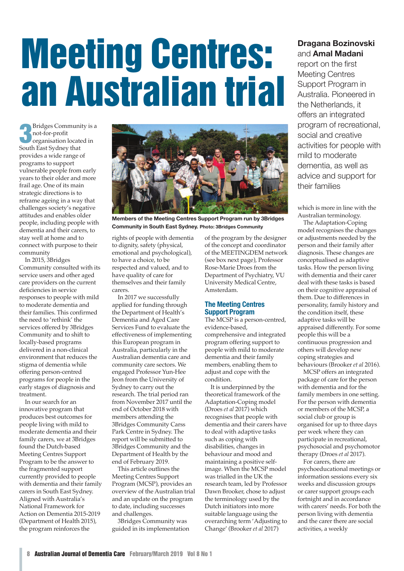# **Meeting Centres: an Australian trial**

**3** Bridges Community is<br> **3** not-for-profit<br> **3** cythese first find that Bridges Community is a not-for-profit South East Sydney that provides a wide range of programs to support vulnerable people from early years to their older and more frail age. One of its main strategic directions is to reframe ageing in a way that challenges society's negative attitudes and enables older people, including people with dementia and their carers, to stay well at home and to connect with purpose to their community

In 2015, 3Bridges Community consulted with its service users and other aged care providers on the current deficiencies in service responses to people with mild to moderate dementia and their families. This confirmed the need to 'rethink' the services offered by 3Bridges Community and to shift to locally-based programs delivered in a non-clinical environment that reduces the stigma of dementia while offering person-centred programs for people in the early stages of diagnosis and treatment.

In our search for an innovative program that produces best outcomes for people living with mild to moderate dementia and their family carers, we at 3Bridges found the Dutch-based Meeting Centres Support Program to be the answer to the fragmented support currently provided to people with dementia and their family carers in South East Sydney. Aligned with Australia's National Framework for Action on Dementia 2015-2019 (Department of Health 2015), the program reinforces the



**Members of the Meeting Centres Support Program run by 3Bridges Community in South East Sydney. Photo: 3Bridges Community**

rights of people with dementia to dignity, safety (physical, emotional and psychological), to have a choice, to be respected and valued, and to have quality of care for themselves and their family carers.

In 2017 we successfully applied for funding through the Department of Health's Dementia and Aged Care Services Fund to evaluate the effectiveness of implementing this European program in Australia, particularly in the Australian dementia care and community care sectors. We engaged Professor Yun-Hee Jeon from the University of Sydney to carry out the research. The trial period ran from November 2017 until the end of October 2018 with members attending the 3Bridges Community Carss Park Centre in Sydney. The report will be submitted to 3Bridges Community and the Department of Health by the end of February 2019.

This article outlines the Meeting Centres Support Program (MCSP), provides an overview of the Australian trial and an update on the program to date, including successes and challenges.

3Bridges Community was guided in its implementation of the program by the designer of the concept and coordinator of the MEETINGDEM network (see box next page), Professor Rose-Marie Droes from the Department of Psychiatry, VU University Medical Centre, Amsterdam.

## **The Meeting Centres Support Program**

The MCSP is a person-centred, evidence-based, comprehensive and integrated program offering support to people with mild to moderate dementia and their family members, enabling them to adjust and cope with the condition.

It is underpinned by the theoretical framework of the Adaptation-Coping model (Droes *et al* 2017) which recognises that people with dementia and their carers have to deal with adaptive tasks such as coping with disabilities, changes in behaviour and mood and maintaining a positive selfimage. When the MCSP model was trialled in the UK the research team, led by Professor Dawn Brooker, chose to adjust the terminology used by the Dutch initiators into more suitable language using the overarching term 'Adjusting to Change' (Brooker *et al* 2017)

# **Dragana Bozinovski** and **Amal Madani**

report on the first Meeting Centres Support Program in Australia. Pioneered in the Netherlands, it offers an integrated program of recreational, social and creative activities for people with mild to moderate dementia, as well as advice and support for their families

which is more in line with the Australian terminology.

The Adaptation-Coping model recognises the changes or adjustments needed by the person and their family after diagnosis. These changes are conceptualised as adaptive tasks. How the person living with dementia and their carer deal with these tasks is based on their cognitive appraisal of them. Due to differences in personality, family history and the condition itself, these adaptive tasks will be appraised differently. For some people this will be a continuous progression and others will develop new coping strategies and behaviours (Brooker *et al* 2016).

MCSP offers an integrated package of care for the person with dementia and for the family members in one setting. For the person with dementia or members of the MCSP, a social club or group is organised for up to three days per week where they can participate in recreational, psychosocial and psychomotor therapy (Droes *et al* 2017).

For carers, there are psychoeducational meetings or information sessions every six weeks and discussion groups or carer support groups each fortnight and in accordance with carers' needs. For both the person living with dementia and the carer there are social activities, a weekly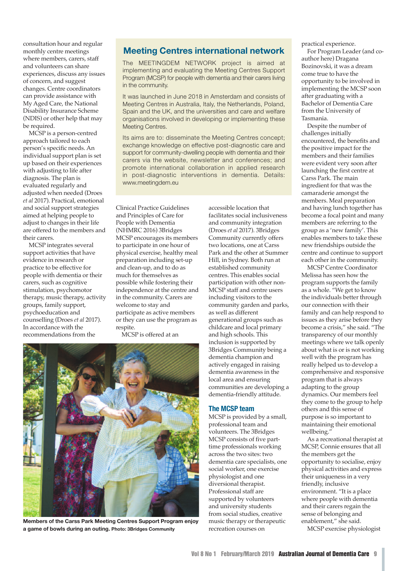consultation hour and regular monthly centre meetings where members, carers, staff and volunteers can share experiences, discuss any issues of concern, and suggest changes. Centre coordinators can provide assistance with My Aged Care, the National Disability Insurance Scheme (NDIS) or other help that may be required.

MCSP is a person-centred approach tailored to each person's specific needs. An individual support plan is set up based on their experiences with adjusting to life after diagnosis. The plan is evaluated regularly and adjusted when needed (Droes *et al* 2017). Practical, emotional and social support strategies aimed at helping people to adjust to changes in their life are offered to the members and their carers.

MCSP integrates several support activities that have evidence in research or practice to be effective for people with dementia or their carers, such as cognitive stimulation, psychomotor therapy, music therapy, activity groups, family support, psychoeducation and counselling (Droes *et al* 2017). In accordance with the recommendations from the

# **Meeting Centres international network**

The MEETINGDEM NETWORK project is aimed at implementing and evaluating the Meeting Centres Support Program (MCSP) for people with dementia and their carers living in the community.

It was launched in June 2018 in Amsterdam and consists of Meeting Centres in Australia, Italy, the Netherlands, Poland, Spain and the UK, and the universities and care and welfare organisations involved in developing or implementing these Meeting Centres.

Its aims are to: disseminate the Meeting Centres concept; exchange knowledge on effective post-diagnostic care and support for community-dwelling people with dementia and their carers via the website, newsletter and conferences; and promote international collaboration in applied research in post-diagnostic interventions in dementia. Details: www.meetingdem.eu

Clinical Practice Guidelines and Principles of Care for People with Dementia (NHMRC 2016) 3Bridges MCSP encourages its members to participate in one hour of physical exercise, healthy meal preparation including set-up and clean-up, and to do as much for themselves as possible while fostering their independence at the centre and in the community. Carers are welcome to stay and participate as active members or they can use the program as respite.

MCSP is offered at an



**Members of the Carss Park Meeting Centres Support Program enjoy a game of bowls during an outing. Photo: 3Bridges Community**

accessible location that facilitates social inclusiveness and community integration (Droes *et al* 2017). 3Bridges Community currently offers two locations, one at Carss Park and the other at Summer Hill, in Sydney. Both run at established community centres. This enables social participation with other non-MCSP staff and centre users including visitors to the community garden and parks, as well as different generational groups such as childcare and local primary and high schools. This inclusion is supported by 3Bridges Community being a dementia champion and actively engaged in raising dementia awareness in the local area and ensuring communities are developing a dementia-friendly attitude.

#### **The MCSP team**

MCSP is provided by a small, professional team and volunteers. The 3Bridges MCSP consists of five parttime professionals working across the two sites: two dementia care specialists, one social worker, one exercise physiologist and one diversional therapist. Professional staff are supported by volunteers and university students from social studies, creative music therapy or therapeutic recreation courses on

practical experience.

For Program Leader (and coauthor here) Dragana Bozinovski, it was a dream come true to have the opportunity to be involved in implementing the MCSP soon after graduating with a Bachelor of Dementia Care from the University of Tasmania.

Despite the number of challenges initially encountered, the benefits and the positive impact for the members and their families were evident very soon after launching the first centre at Carss Park. The main ingredient for that was the camaraderie amongst the members. Meal preparation and having lunch together has become a focal point and many members are referring to the group as a 'new family'. This enables members to take these new friendships outside the centre and continue to support each other in the community.

MCSP Centre Coordinator Melissa has seen how the program supports the family as a whole. "We get to know the individuals better through our connection with their family and can help respond to issues as they arise before they become a crisis," she said. "The transparency of our monthly meetings where we talk openly about what is or is not working well with the program has really helped us to develop a comprehensive and responsive program that is always adapting to the group dynamics. Our members feel they come to the group to help others and this sense of purpose is so important to maintaining their emotional wellbeing.'

As a recreational therapist at MCSP, Connie ensures that all the members get the opportunity to socialise, enjoy physical activities and express their uniqueness in a very friendly, inclusive environment. "It is a place where people with dementia and their carers regain the sense of belonging and enablement," she said.

MCSP exercise physiologist